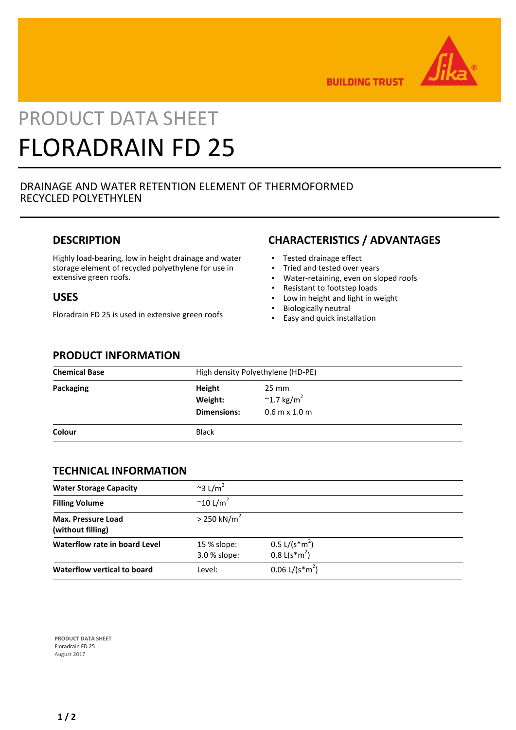

**BUILDING TRUST** 

# PRODUCT DATA SHEET FLORADRAIN FD 25

#### DRAINAGE AND WATER RETENTION ELEMENT OF THERMOFORMED RECYCLED POLYETHYLEN

#### **DESCRIPTION**

Highly load-bearing, low in height drainage and water storage element of recycled polyethylene for use in extensive green roofs.

#### **USES**

Floradrain FD 25 is used in extensive green roofs

# **CHARACTERISTICS / ADVANTAGES**

- Tested drainage effect
- Tried and tested over years
- Water-retaining, even on sloped roofs
- Resistant to footstep loads
- Low in height and light in weight
- Biologically neutral
- Easy and quick installation

#### **PRODUCT INFORMATION**

| <b>Chemical Base</b> |                                         | High density Polyethylene (HD-PE)                            |  |  |
|----------------------|-----------------------------------------|--------------------------------------------------------------|--|--|
| Packaging            | Height<br>Weight:<br><b>Dimensions:</b> | 25 mm<br>$~^{\sim}$ 1.7 kg/m <sup>2</sup><br>$0.6$ m x 1.0 m |  |  |
| Colour               | <b>Black</b>                            |                                                              |  |  |

#### **TECHNICAL INFORMATION**

| <b>Water Storage Capacity</b>                  | $\approx$ 3 L/m <sup>2</sup> |                                                                        |  |
|------------------------------------------------|------------------------------|------------------------------------------------------------------------|--|
| <b>Filling Volume</b>                          | $\sim$ 10 L/m <sup>2</sup>   |                                                                        |  |
| <b>Max. Pressure Load</b><br>(without filling) | $> 250$ kN/m <sup>2</sup>    |                                                                        |  |
| Waterflow rate in board Level                  | 15 % slope:<br>3.0 % slope:  | $0.5 \frac{\text{L}}{\text{s}^* \text{m}^2}$<br>$0.8 \text{ L(s*m}^2)$ |  |
| Waterflow vertical to board                    | Level:                       | $0.06$ L/(s <sup>*m<sup>2</sup>)</sup>                                 |  |

**PRODUCT DATA SHEET** Floradrain FD 25 August 2017